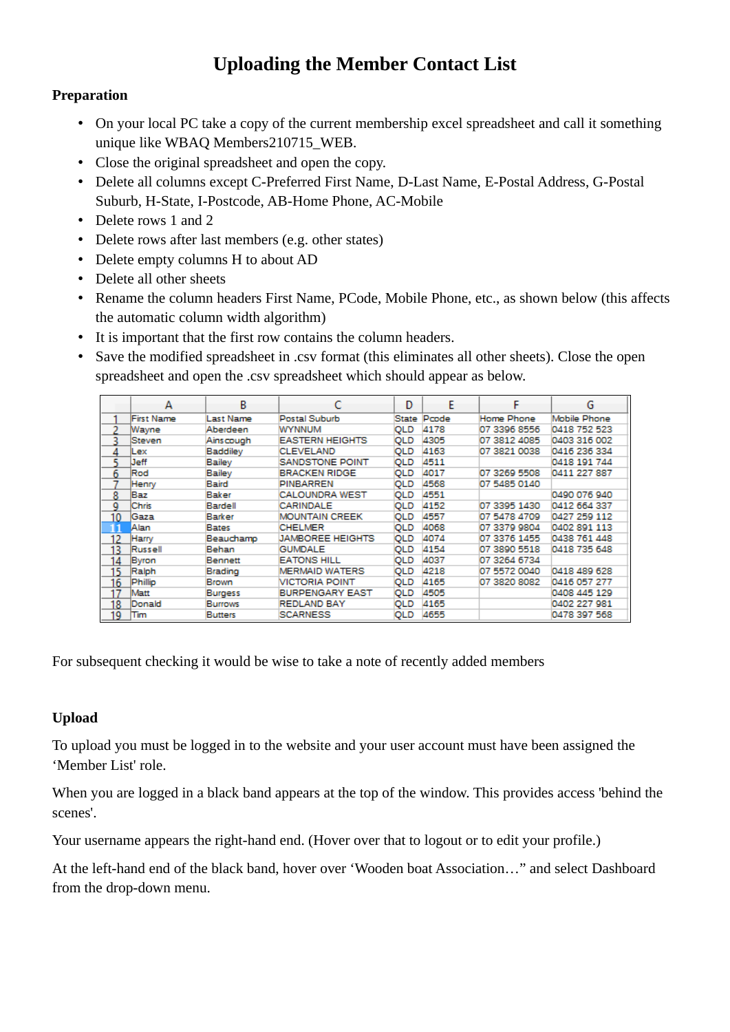## **Uploading the Member Contact List**

## **Preparation**

- On your local PC take a copy of the current membership excel spreadsheet and call it something unique like WBAQ Members210715\_WEB.
- Close the original spreadsheet and open the copy.
- Delete all columns except C-Preferred First Name, D-Last Name, E-Postal Address, G-Postal Suburb, H-State, I-Postcode, AB-Home Phone, AC-Mobile
- Delete rows 1 and 2
- Delete rows after last members (e.g. other states)
- Delete empty columns H to about AD
- Delete all other sheets
- Rename the column headers First Name, PCode, Mobile Phone, etc., as shown below (this affects the automatic column width algorithm)
- It is important that the first row contains the column headers.
- Save the modified spreadsheet in .csv format (this eliminates all other sheets). Close the open spreadsheet and open the .csv spreadsheet which should appear as below.

|    | А          | в              |                         | Ð          | F     |              | G            |
|----|------------|----------------|-------------------------|------------|-------|--------------|--------------|
|    | First Name | Last Name      | Postal Suburb           | State      | Pcode | Home Phone   | Mobile Phone |
|    | Wayne      | Aberdeen       | <b>WYNNUM</b>           | QLD        | 4178  | 07 3396 8556 | 0418 752 523 |
| 3. | Steven     | Ainscough      | <b>EASTERN HEIGHTS</b>  | QLD        | 4305  | 07 3812 4085 | 0403 316 002 |
|    | lLex       | Baddiley       | <b>CLEVELAND</b>        | QLD        | 4163  | 07 3821 0038 | 0416 236 334 |
|    | Jeff       | Bailey         | <b>SANDSTONE POINT</b>  | QLD        | 4511  |              | 0418 191 744 |
| 6  | Rod        | Bailey         | <b>BRACKEN RIDGE</b>    | QLD        | 4017  | 07 3269 5508 | 0411 227 887 |
|    | Henry      | Baird          | <b>PINBARREN</b>        | <b>QLD</b> | 4568  | 07 5485 0140 |              |
| 8  | Baz        | Baker          | <b>CALOUNDRA WEST</b>   | QLD        | 4551  |              | 0490 076 940 |
| 9  | Chris      | Bardell        | CARINDALE               | QLD        | 4152  | 07 3395 1430 | 0412 664 337 |
| 10 | Gaza       | Barker         | <b>MOUNTAIN CREEK</b>   | QLD        | 4557  | 07 5478 4709 | 0427 259 112 |
| 11 | Alan       | Bates          | <b>CHELMER</b>          | QLD        | 4068  | 07 3379 9804 | 0402 891 113 |
| 12 | Harry      | Beauchamp      | <b>JAMBOREE HEIGHTS</b> | <b>QLD</b> | 4074  | 07 3376 1455 | 0438 761 448 |
| 13 | Russell    | Behan          | <b>GUMDALE</b>          | QLD        | 4154  | 07 3890 5518 | 0418 735 648 |
| 14 | Byron      | Bennett        | <b>EATONS HILL</b>      | QLD        | 4037  | 07 3264 6734 |              |
| 15 | Ralph      | Brading        | <b>MERMAID WATERS</b>   | QLD        | 4218  | 07 5572 0040 | 0418 489 628 |
| 16 | Phillip    | Brown          | VICTORIA POINT          | QLD        | 4165  | 07 3820 8082 | 0416 057 277 |
| 17 | Matt       | Burgess        | <b>BURPENGARY EAST</b>  | QLD        | 4505  |              | 0408 445 129 |
| 18 | Donald     | Burrows        | <b>REDLAND BAY</b>      | QLD        | 4165  |              | 0402 227 981 |
| 19 | Tim        | <b>Butters</b> | <b>SCARNESS</b>         | QLD        | 4655  |              | 0478 397 568 |

For subsequent checking it would be wise to take a note of recently added members

## **Upload**

To upload you must be logged in to the website and your user account must have been assigned the 'Member List' role.

When you are logged in a black band appears at the top of the window. This provides access 'behind the scenes'.

Your username appears the right-hand end. (Hover over that to logout or to edit your profile.)

At the left-hand end of the black band, hover over 'Wooden boat Association…" and select Dashboard from the drop-down menu.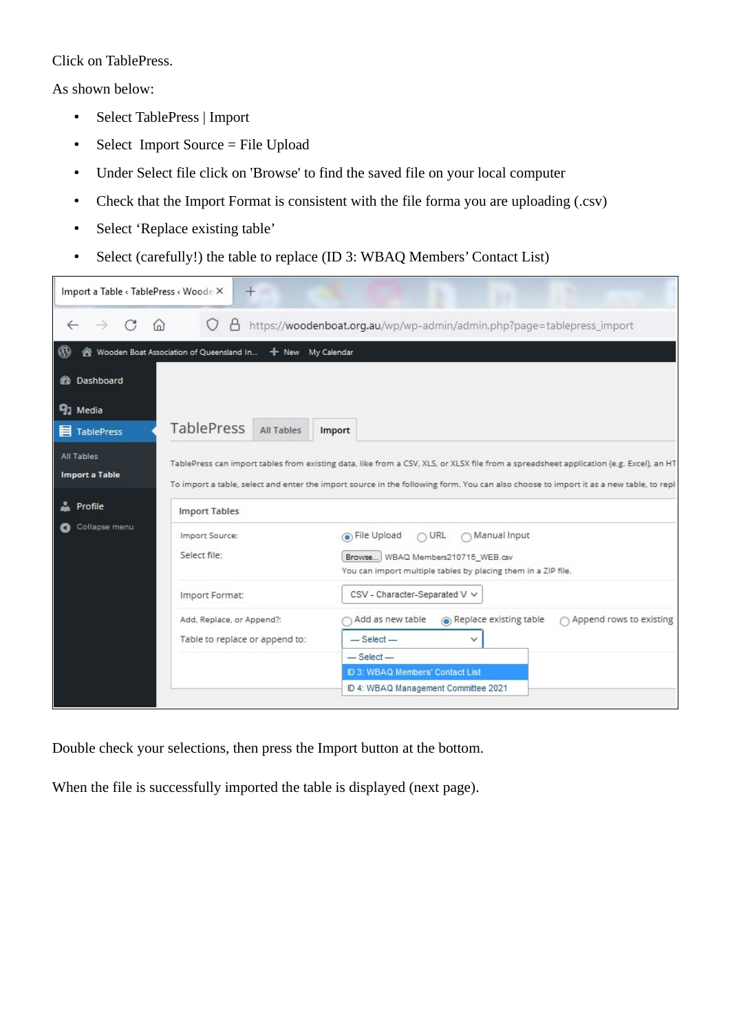Click on TablePress.

As shown below:

- Select TablePress | Import
- Select Import Source = File Upload
- Under Select file click on 'Browse' to find the saved file on your local computer
- Check that the Import Format is consistent with the file forma you are uploading (.csv)
- Select 'Replace existing table'
- Select (carefully!) the table to replace (ID 3: WBAQ Members' Contact List)

| Import a Table < TablePress < Woode X                                                                                                                                                                                                                                                                                          | $\pm$<br>٠                                                    |                                                                                                                                                             |  |  |  |  |  |
|--------------------------------------------------------------------------------------------------------------------------------------------------------------------------------------------------------------------------------------------------------------------------------------------------------------------------------|---------------------------------------------------------------|-------------------------------------------------------------------------------------------------------------------------------------------------------------|--|--|--|--|--|
| G<br>$\rightarrow$<br>(n)                                                                                                                                                                                                                                                                                                      |                                                               | https://woodenboat.org.au/wp/wp-admin/admin.php?page=tablepress_import                                                                                      |  |  |  |  |  |
|                                                                                                                                                                                                                                                                                                                                | Wooden Boat Association of Queensland In<br>+ New My Calendar |                                                                                                                                                             |  |  |  |  |  |
| <b>20 Dashboard</b>                                                                                                                                                                                                                                                                                                            |                                                               |                                                                                                                                                             |  |  |  |  |  |
| 91 Media                                                                                                                                                                                                                                                                                                                       |                                                               |                                                                                                                                                             |  |  |  |  |  |
| <b>目 TablePress</b>                                                                                                                                                                                                                                                                                                            | <b>TablePress</b><br><b>All Tables</b>                        | <b>Import</b>                                                                                                                                               |  |  |  |  |  |
| <b>All Tables</b><br>TablePress can import tables from existing data, like from a CSV, XLS, or XLSX file from a spreadsheet application (e.g. Excel), an HT<br><b>Import a Table</b><br>To import a table, select and enter the import source in the following form. You can also choose to import it as a new table, to repl. |                                                               |                                                                                                                                                             |  |  |  |  |  |
| Profile                                                                                                                                                                                                                                                                                                                        | <b>Import Tables</b>                                          |                                                                                                                                                             |  |  |  |  |  |
| Collapse menu                                                                                                                                                                                                                                                                                                                  | Import Source:<br>Select file:                                | File Upload<br>$\bigcap \text{URL}$<br>∩ Manual Input<br>Browse WBAQ Members210715 WEB.csv<br>You can import multiple tables by placing them in a ZIP file. |  |  |  |  |  |
|                                                                                                                                                                                                                                                                                                                                | Import Format:                                                | CSV - Character-Separated V V                                                                                                                               |  |  |  |  |  |
|                                                                                                                                                                                                                                                                                                                                | Add, Replace, or Append?:                                     | Add as new table<br>Replace existing table<br>○ Append rows to existing                                                                                     |  |  |  |  |  |
|                                                                                                                                                                                                                                                                                                                                | Table to replace or append to:                                | $-$ Select $-$<br>$\checkmark$                                                                                                                              |  |  |  |  |  |
|                                                                                                                                                                                                                                                                                                                                |                                                               | $-$ Select $-$<br>ID 3: WBAQ Members' Contact List                                                                                                          |  |  |  |  |  |
|                                                                                                                                                                                                                                                                                                                                |                                                               | ID 4: WBAQ Management Committee 2021                                                                                                                        |  |  |  |  |  |

Double check your selections, then press the Import button at the bottom.

When the file is successfully imported the table is displayed (next page).